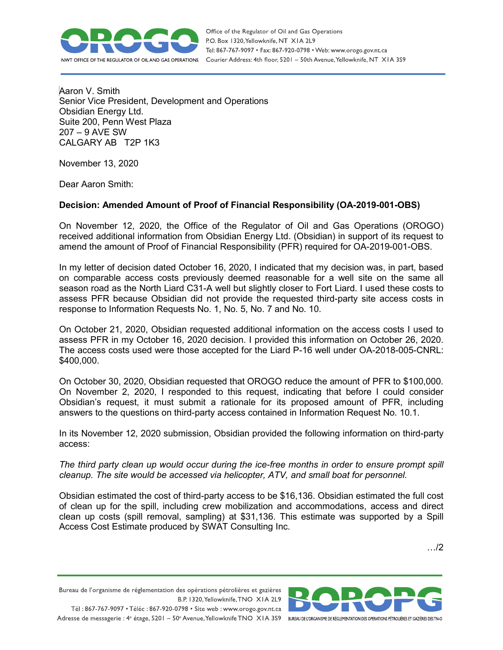

Aaron V. Smith Senior Vice President, Development and Operations Obsidian Energy Ltd. Suite 200, Penn West Plaza 207 – 9 AVE SW CALGARY AB T2P 1K3

November 13, 2020

Dear Aaron Smith:

## **Decision: Amended Amount of Proof of Financial Responsibility (OA-2019-001-OBS)**

On November 12, 2020, the Office of the Regulator of Oil and Gas Operations (OROGO) received additional information from Obsidian Energy Ltd. (Obsidian) in support of its request to amend the amount of Proof of Financial Responsibility (PFR) required for OA-2019-001-OBS.

In my letter of decision dated October 16, 2020, I indicated that my decision was, in part, based on comparable access costs previously deemed reasonable for a well site on the same all season road as the North Liard C31-A well but slightly closer to Fort Liard. I used these costs to assess PFR because Obsidian did not provide the requested third-party site access costs in response to Information Requests No. 1, No. 5, No. 7 and No. 10.

On October 21, 2020, Obsidian requested additional information on the access costs I used to assess PFR in my October 16, 2020 decision. I provided this information on October 26, 2020. The access costs used were those accepted for the Liard P-16 well under OA-2018-005-CNRL: \$400,000.

On October 30, 2020, Obsidian requested that OROGO reduce the amount of PFR to \$100,000. On November 2, 2020, I responded to this request, indicating that before I could consider Obsidian's request, it must submit a rationale for its proposed amount of PFR, including answers to the questions on third-party access contained in Information Request No. 10.1.

In its November 12, 2020 submission, Obsidian provided the following information on third-party access:

*The third party clean up would occur during the ice-free months in order to ensure prompt spill cleanup. The site would be accessed via helicopter, ATV, and small boat for personnel.* 

Obsidian estimated the cost of third-party access to be \$16,136. Obsidian estimated the full cost of clean up for the spill, including crew mobilization and accommodations, access and direct clean up costs (spill removal, sampling) at \$31,136. This estimate was supported by a Spill Access Cost Estimate produced by SWAT Consulting Inc.

…/2